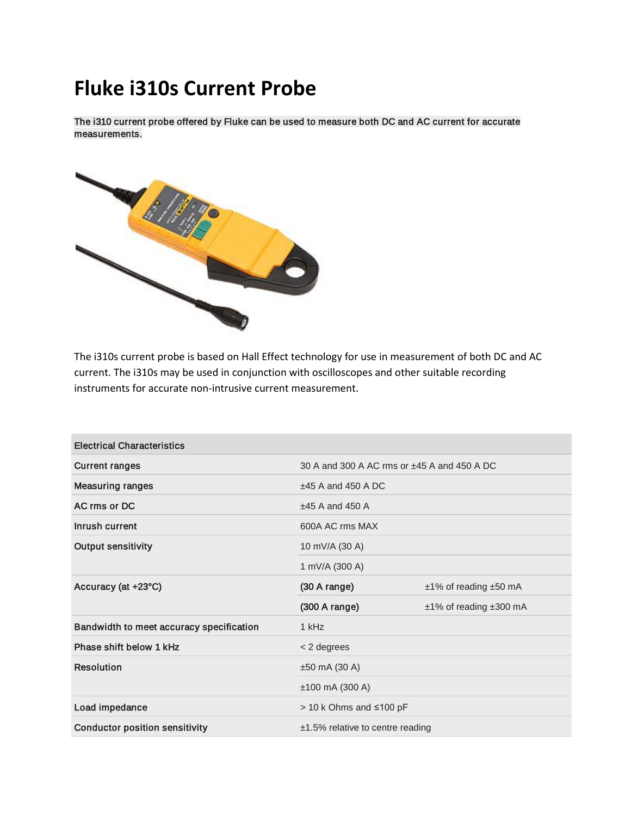## **Fluke i310s Current Probe**

The i310 current probe offered by Fluke can be used to measure both DC and AC current for accurate measurements.



The i310s current probe is based on Hall Effect technology for use in measurement of both DC and AC current. The i310s may be used in conjunction with oscilloscopes and other suitable recording instruments for accurate non-intrusive current measurement.

| <b>Electrical Characteristics</b>        |                                             |                        |
|------------------------------------------|---------------------------------------------|------------------------|
| <b>Current ranges</b>                    | 30 A and 300 A AC rms or ±45 A and 450 A DC |                        |
| <b>Measuring ranges</b>                  | $±45$ A and 450 A DC                        |                        |
| AC rms or DC                             | $±45$ A and 450 A                           |                        |
| Inrush current                           | 600A AC rms MAX                             |                        |
| <b>Output sensitivity</b>                | 10 mV/A (30 A)                              |                        |
|                                          | 1 mV/A (300 A)                              |                        |
| Accuracy (at +23°C)                      | (30 A range)                                | ±1% of reading ±50 mA  |
|                                          | $(300 \text{ A range})$                     | ±1% of reading ±300 mA |
| Bandwidth to meet accuracy specification | 1 kHz                                       |                        |
| Phase shift below 1 kHz                  | $<$ 2 degrees                               |                        |
| <b>Resolution</b>                        | $±50$ mA (30 A)                             |                        |
|                                          | $±100$ mA (300 A)                           |                        |
| Load impedance                           | > 10 k Ohms and ≤100 pF                     |                        |
| <b>Conductor position sensitivity</b>    | $±1.5\%$ relative to centre reading         |                        |